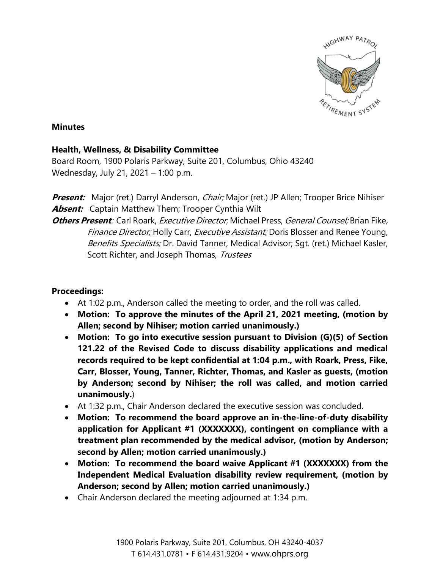

## **Minutes**

## **Health, Wellness, & Disability Committee**

Board Room, 1900 Polaris Parkway, Suite 201, Columbus, Ohio 43240 Wednesday, July 21, 2021 – 1:00 p.m.

**Present:** Major (ret.) Darryl Anderson, *Chair;* Major (ret.) JP Allen; Trooper Brice Nihiser **Absent:** Captain Matthew Them; Trooper Cynthia Wilt

**Others Present**: Carl Roark, *Executive Director*, Michael Press, *General Counsel*; Brian Fike, Finance Director; Holly Carr, Executive Assistant; Doris Blosser and Renee Young, Benefits Specialists; Dr. David Tanner, Medical Advisor; Sqt. (ret.) Michael Kasler, Scott Richter, and Joseph Thomas, Trustees

## **Proceedings:**

- At 1:02 p.m., Anderson called the meeting to order, and the roll was called.
- **Motion: To approve the minutes of the April 21, 2021 meeting, (motion by Allen; second by Nihiser; motion carried unanimously.)**
- **Motion: To go into executive session pursuant to Division (G)(5) of Section 121.22 of the Revised Code to discuss disability applications and medical records required to be kept confidential at 1:04 p.m., with Roark, Press, Fike, Carr, Blosser, Young, Tanner, Richter, Thomas, and Kasler as guests, (motion by Anderson; second by Nihiser; the roll was called, and motion carried unanimously.**)
- At 1:32 p.m., Chair Anderson declared the executive session was concluded.
- **Motion: To recommend the board approve an in-the-line-of-duty disability application for Applicant #1 (XXXXXXX), contingent on compliance with a treatment plan recommended by the medical advisor, (motion by Anderson; second by Allen; motion carried unanimously.)**
- **Motion: To recommend the board waive Applicant #1 (XXXXXXX) from the Independent Medical Evaluation disability review requirement, (motion by Anderson; second by Allen; motion carried unanimously.)**
- Chair Anderson declared the meeting adjourned at 1:34 p.m.